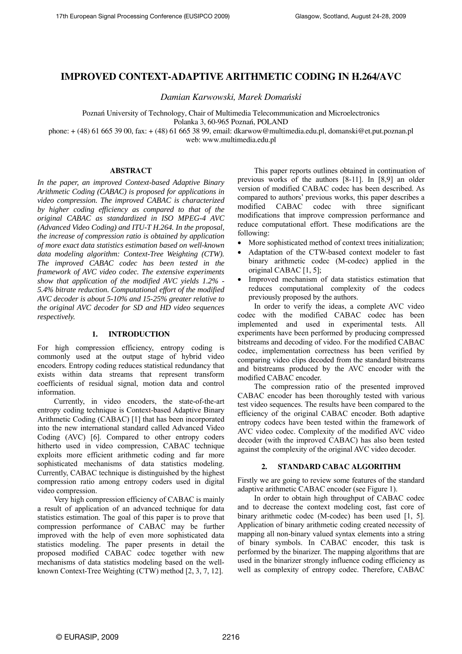# **IMPROVED CONTEXT-ADAPTIVE ARITHMETIC CODING IN H.264/AVC**

*Damian Karwowski, Marek Domański* 

Poznań University of Technology, Chair of Multimedia Telecommunication and Microelectronics Polanka 3, 60-965 Poznań, POLAND

phone: + (48) 61 665 39 00, fax: + (48) 61 665 38 99, email: dkarwow@multimedia.edu.pl, domanski@et.put.poznan.pl web: www.multimedia.edu.pl

### **ABSTRACT**

*In the paper, an improved Context-based Adaptive Binary Arithmetic Coding (CABAC) is proposed for applications in video compression. The improved CABAC is characterized by higher coding efficiency as compared to that of the original CABAC as standardized in ISO MPEG-4 AVC (Advanced Video Coding) and ITU-T H.264. In the proposal, the increase of compression ratio is obtained by application of more exact data statistics estimation based on well-known data modeling algorithm: Context-Tree Weighting (CTW). The improved CABAC codec has been tested in the framework of AVC video codec. The extensive experiments show that application of the modified AVC yields 1.2% - 5.4% bitrate reduction. Computational effort of the modified AVC decoder is about 5-10% and 15-25% greater relative to the original AVC decoder for SD and HD video sequences respectively.* 

#### **1. INTRODUCTION**

For high compression efficiency, entropy coding is commonly used at the output stage of hybrid video encoders. Entropy coding reduces statistical redundancy that exists within data streams that represent transform coefficients of residual signal, motion data and control information.

 Currently, in video encoders, the state-of-the-art entropy coding technique is Context-based Adaptive Binary Arithmetic Coding (CABAC) [1] that has been incorporated into the new international standard called Advanced Video Coding (AVC) [6]. Compared to other entropy coders hitherto used in video compression, CABAC technique exploits more efficient arithmetic coding and far more sophisticated mechanisms of data statistics modeling. Currently, CABAC technique is distinguished by the highest compression ratio among entropy coders used in digital video compression.

 Very high compression efficiency of CABAC is mainly a result of application of an advanced technique for data statistics estimation. The goal of this paper is to prove that compression performance of CABAC may be further improved with the help of even more sophisticated data statistics modeling. The paper presents in detail the proposed modified CABAC codec together with new mechanisms of data statistics modeling based on the wellknown Context-Tree Weighting (CTW) method [2, 3, 7, 12].

 This paper reports outlines obtained in continuation of previous works of the authors [8-11]. In [8,9] an older version of modified CABAC codec has been described. As compared to authors' previous works, this paper describes a modified CABAC codec with three significant modifications that improve compression performance and reduce computational effort. These modifications are the following:

- More sophisticated method of context trees initialization;
- Adaptation of the CTW-based context modeler to fast binary arithmetic codec (M-codec) applied in the original CABAC [1, 5];
- Improved mechanism of data statistics estimation that reduces computational complexity of the codecs previously proposed by the authors.

 In order to verify the ideas, a complete AVC video codec with the modified CABAC codec has been implemented and used in experimental tests. All experiments have been performed by producing compressed bitstreams and decoding of video. For the modified CABAC codec, implementation correctness has been verified by comparing video clips decoded from the standard bitstreams and bitstreams produced by the AVC encoder with the modified CABAC encoder.

 The compression ratio of the presented improved CABAC encoder has been thoroughly tested with various test video sequences. The results have been compared to the efficiency of the original CABAC encoder. Both adaptive entropy codecs have been tested within the framework of AVC video codec. Complexity of the modified AVC video decoder (with the improved CABAC) has also been tested against the complexity of the original AVC video decoder.

#### **2. STANDARD CABAC ALGORITHM**

Firstly we are going to review some features of the standard adaptive arithmetic CABAC encoder (see Figure 1).

 In order to obtain high throughput of CABAC codec and to decrease the context modeling cost, fast core of binary arithmetic codec (M-codec) has been used [1, 5]. Application of binary arithmetic coding created necessity of mapping all non-binary valued syntax elements into a string of binary symbols. In CABAC encoder, this task is performed by the binarizer. The mapping algorithms that are used in the binarizer strongly influence coding efficiency as well as complexity of entropy codec. Therefore, CABAC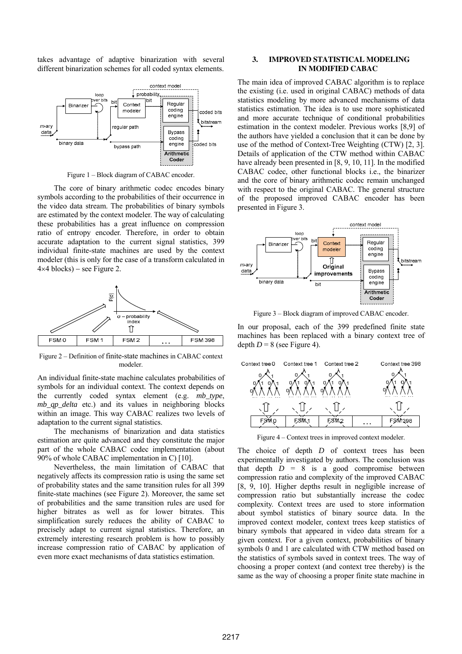takes advantage of adaptive binarization with several different binarization schemes for all coded syntax elements.



Figure 1 – Block diagram of CABAC encoder.

 The core of binary arithmetic codec encodes binary symbols according to the probabilities of their occurrence in the video data stream. The probabilities of binary symbols are estimated by the context modeler. The way of calculating these probabilities has a great influence on compression ratio of entropy encoder. Therefore, in order to obtain accurate adaptation to the current signal statistics, 399 individual finite-state machines are used by the context modeler (this is only for the case of a transform calculated in  $4\times4$  blocks) – see Figure 2.



Figure 2 – Definition of finite-state machines in CABAC context modeler.

An individual finite-state machine calculates probabilities of symbols for an individual context. The context depends on the currently coded syntax element (e.g. *mb\_type*, *mb qp delta* etc.) and its values in neighboring blocks within an image. This way CABAC realizes two levels of adaptation to the current signal statistics.

 The mechanisms of binarization and data statistics estimation are quite advanced and they constitute the major part of the whole CABAC codec implementation (about 90% of whole CABAC implementation in C) [10].

 Nevertheless, the main limitation of CABAC that negatively affects its compression ratio is using the same set of probability states and the same transition rules for all 399 finite-state machines (see Figure 2). Moreover, the same set of probabilities and the same transition rules are used for higher bitrates as well as for lower bitrates. This simplification surely reduces the ability of CABAC to precisely adapt to current signal statistics. Therefore, an extremely interesting research problem is how to possibly increase compression ratio of CABAC by application of even more exact mechanisms of data statistics estimation.

## **3. IMPROVED STATISTICAL MODELING IN MODIFIED CABAC**

The main idea of improved CABAC algorithm is to replace the existing (i.e. used in original CABAC) methods of data statistics modeling by more advanced mechanisms of data statistics estimation. The idea is to use more sophisticated and more accurate technique of conditional probabilities estimation in the context modeler. Previous works [8,9] of the authors have yielded a conclusion that it can be done by use of the method of Context-Tree Weighting (CTW) [2, 3]. Details of application of the CTW method within CABAC have already been presented in [8, 9, 10, 11]. In the modified CABAC codec, other functional blocks i.e., the binarizer and the core of binary arithmetic codec remain unchanged with respect to the original CABAC. The general structure of the proposed improved CABAC encoder has been presented in Figure 3.



Figure 3 – Block diagram of improved CABAC encoder.

In our proposal, each of the 399 predefined finite state machines has been replaced with a binary context tree of depth  $D = 8$  (see Figure 4).



Figure 4 – Context trees in improved context modeler.

The choice of depth *D* of context trees has been experimentally investigated by authors. The conclusion was that depth  $D = 8$  is a good compromise between compression ratio and complexity of the improved CABAC [8, 9, 10]. Higher depths result in negligible increase of compression ratio but substantially increase the codec complexity. Context trees are used to store information about symbol statistics of binary source data. In the improved context modeler, context trees keep statistics of binary symbols that appeared in video data stream for a given context. For a given context, probabilities of binary symbols 0 and 1 are calculated with CTW method based on the statistics of symbols saved in context trees. The way of choosing a proper context (and context tree thereby) is the same as the way of choosing a proper finite state machine in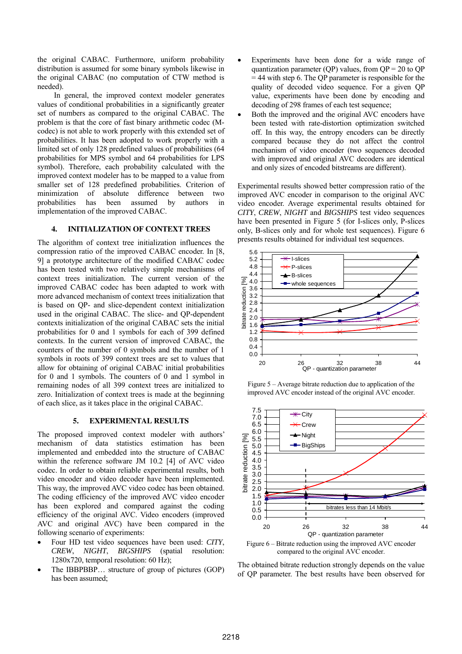the original CABAC. Furthermore, uniform probability distribution is assumed for some binary symbols likewise in the original CABAC (no computation of CTW method is needed).

 In general, the improved context modeler generates values of conditional probabilities in a significantly greater set of numbers as compared to the original CABAC. The problem is that the core of fast binary arithmetic codec (Mcodec) is not able to work properly with this extended set of probabilities. It has been adopted to work properly with a limited set of only 128 predefined values of probabilities (64 probabilities for MPS symbol and 64 probabilities for LPS symbol). Therefore, each probability calculated with the improved context modeler has to be mapped to a value from smaller set of 128 predefined probabilities. Criterion of minimization of absolute difference between two probabilities has been assumed by authors in implementation of the improved CABAC.

# **4. INITIALIZATION OF CONTEXT TREES**

The algorithm of context tree initialization influences the compression ratio of the improved CABAC encoder. In [8, 9] a prototype architecture of the modified CABAC codec has been tested with two relatively simple mechanisms of context trees initialization. The current version of the improved CABAC codec has been adapted to work with more advanced mechanism of context trees initialization that is based on QP- and slice-dependent context initialization used in the original CABAC. The slice- and QP-dependent contexts initialization of the original CABAC sets the initial probabilities for 0 and 1 symbols for each of 399 defined contexts. In the current version of improved CABAC, the counters of the number of 0 symbols and the number of 1 symbols in roots of 399 context trees are set to values that allow for obtaining of original CABAC initial probabilities for 0 and 1 symbols. The counters of 0 and 1 symbol in remaining nodes of all 399 context trees are initialized to zero. Initialization of context trees is made at the beginning of each slice, as it takes place in the original CABAC.

## **5. EXPERIMENTAL RESULTS**

The proposed improved context modeler with authors' mechanism of data statistics estimation has been implemented and embedded into the structure of CABAC within the reference software JM 10.2 [4] of AVC video codec. In order to obtain reliable experimental results, both video encoder and video decoder have been implemented. This way, the improved AVC video codec has been obtained. The coding efficiency of the improved AVC video encoder has been explored and compared against the coding efficiency of the original AVC. Video encoders (improved AVC and original AVC) have been compared in the following scenario of experiments:

- Four HD test video sequences have been used: *CITY*, *CREW*, *NIGHT*, *BIGSHIPS* (spatial resolution: 1280x720, temporal resolution: 60 Hz);
- The IBBPBBP... structure of group of pictures (GOP) has been assumed;
- Experiments have been done for a wide range of quantization parameter (QP) values, from  $QP = 20$  to QP = 44 with step 6. The QP parameter is responsible for the quality of decoded video sequence. For a given QP value, experiments have been done by encoding and decoding of 298 frames of each test sequence;
- Both the improved and the original AVC encoders have been tested with rate-distortion optimization switched off. In this way, the entropy encoders can be directly compared because they do not affect the control mechanism of video encoder (two sequences decoded with improved and original AVC decoders are identical and only sizes of encoded bitstreams are different).

Experimental results showed better compression ratio of the improved AVC encoder in comparison to the original AVC video encoder. Average experimental results obtained for *CITY*, *CREW*, *NIGHT* and *BIGSHIPS* test video sequences have been presented in Figure 5 (for I-slices only, P-slices only, B-slices only and for whole test sequences). Figure 6 presents results obtained for individual test sequences.



Figure 5 – Average bitrate reduction due to application of the improved AVC encoder instead of the original AVC encoder.



Figure 6 – Bitrate reduction using the improved AVC encoder compared to the original AVC encoder.

The obtained bitrate reduction strongly depends on the value of QP parameter. The best results have been observed for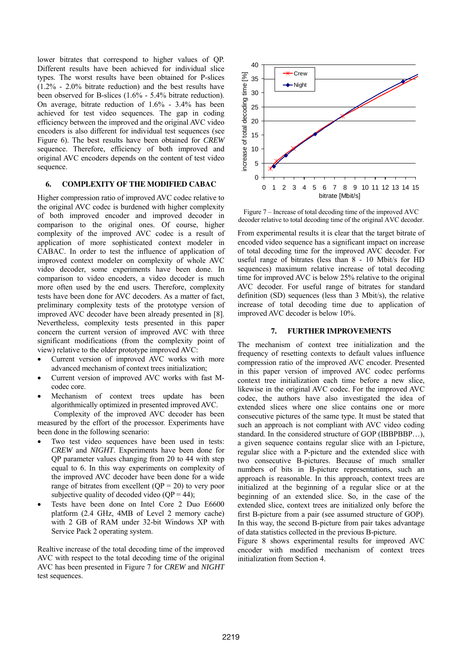lower bitrates that correspond to higher values of QP. Different results have been achieved for individual slice types. The worst results have been obtained for P-slices (1.2% - 2.0% bitrate reduction) and the best results have been observed for B-slices (1.6% - 5.4% bitrate reduction). On average, bitrate reduction of 1.6% - 3.4% has been achieved for test video sequences. The gap in coding efficiency between the improved and the original AVC video encoders is also different for individual test sequences (see Figure 6). The best results have been obtained for *CREW* sequence. Therefore, efficiency of both improved and original AVC encoders depends on the content of test video sequence.

# **6. COMPLEXITY OF THE MODIFIED CABAC**

Higher compression ratio of improved AVC codec relative to the original AVC codec is burdened with higher complexity of both improved encoder and improved decoder in comparison to the original ones. Of course, higher complexity of the improved AVC codec is a result of application of more sophisticated context modeler in CABAC. In order to test the influence of application of improved context modeler on complexity of whole AVC video decoder, some experiments have been done. In comparison to video encoders, a video decoder is much more often used by the end users. Therefore, complexity tests have been done for AVC decoders. As a matter of fact, preliminary complexity tests of the prototype version of improved AVC decoder have been already presented in [8]. Nevertheless, complexity tests presented in this paper concern the current version of improved AVC with three significant modifications (from the complexity point of view) relative to the older prototype improved AVC:

- Current version of improved AVC works with more advanced mechanism of context trees initialization;
- Current version of improved AVC works with fast Mcodec core.
- Mechanism of context trees update has been algorithmically optimized in presented improved AVC.

 Complexity of the improved AVC decoder has been measured by the effort of the processor. Experiments have been done in the following scenario:

- Two test video sequences have been used in tests: *CREW* and *NIGHT*. Experiments have been done for QP parameter values changing from 20 to 44 with step equal to 6. In this way experiments on complexity of the improved AVC decoder have been done for a wide range of bitrates from excellent  $OP = 20$  to very poor subjective quality of decoded video  $(QP = 44)$ ;
- Tests have been done on Intel Core 2 Duo E6600 platform (2.4 GHz, 4MB of Level 2 memory cache) with 2 GB of RAM under 32-bit Windows XP with Service Pack 2 operating system.

Realtive increase of the total decoding time of the improved AVC with respect to the total decoding time of the original AVC has been presented in Figure 7 for *CREW* and *NIGHT* test sequences.



Figure 7 – Increase of total decoding time of the improved AVC decoder relative to total decoding time of the original AVC decoder.

From experimental results it is clear that the target bitrate of encoded video sequence has a significant impact on increase of total decoding time for the improved AVC decoder. For useful range of bitrates (less than 8 - 10 Mbit/s for HD sequences) maximum relative increase of total decoding time for improved AVC is below 25% relative to the original AVC decoder. For useful range of bitrates for standard definition (SD) sequences (less than 3 Mbit/s), the relative increase of total decoding time due to application of improved AVC decoder is below 10%.

## **7. FURTHER IMPROVEMENTS**

The mechanism of context tree initialization and the frequency of resetting contexts to default values influence compression ratio of the improved AVC encoder. Presented in this paper version of improved AVC codec performs context tree initialization each time before a new slice, likewise in the original AVC codec. For the improved AVC codec, the authors have also investigated the idea of extended slices where one slice contains one or more consecutive pictures of the same type. It must be stated that such an approach is not compliant with AVC video coding standard. In the considered structure of GOP (IBBPBBP…), a given sequence contains regular slice with an I-picture, regular slice with a P-picture and the extended slice with two consecutive B-pictures. Because of much smaller numbers of bits in B-picture representations, such an approach is reasonable. In this approach, context trees are initialized at the beginning of a regular slice or at the beginning of an extended slice. So, in the case of the extended slice, context trees are initialized only before the first B-picture from a pair (see assumed structure of GOP). In this way, the second B-picture from pair takes advantage of data statistics collected in the previous B-picture.

Figure 8 shows experimental results for improved AVC encoder with modified mechanism of context trees initialization from Section 4.